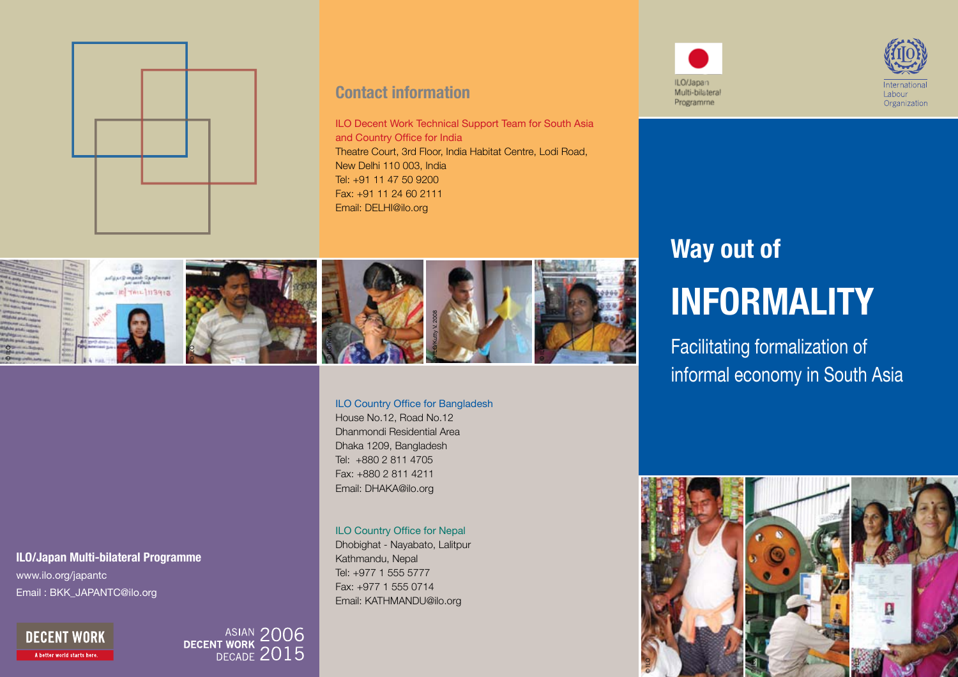

#### **Contact information**

ILO Decent Work Technical Support Team for South Asia and Country Office for India Theatre Court, 3rd Floor, India Habitat Centre, Lodi Road, New Delhi 110 003, India Tel: +91 11 47 50 9200 Fax: +91 11 24 60 2111 Email: DELHI@ilo.org



#### House No.12, Road No.12

ILO Country Office for Bangladesh

Dhanmondi Residential Area Dhaka 1209, Bangladesh Tel: +880 2 811 4705 Fax: +880 2 811 4211 Email: DHAKA@ilo.org

#### ILO Country Office for Nepal

Dhobighat - Nayabato, Lalitpur Kathmandu, Nepal Tel: +977 1 555 5777 Fax: +977 1 555 0714 Email: KATHMANDU@ilo.org





# **Way out of Informality**

Facilitating formalization of informal economy in South Asia





Email : BKK\_JAPANTC@ilo.org

**DECENT WORK** A better world starts here